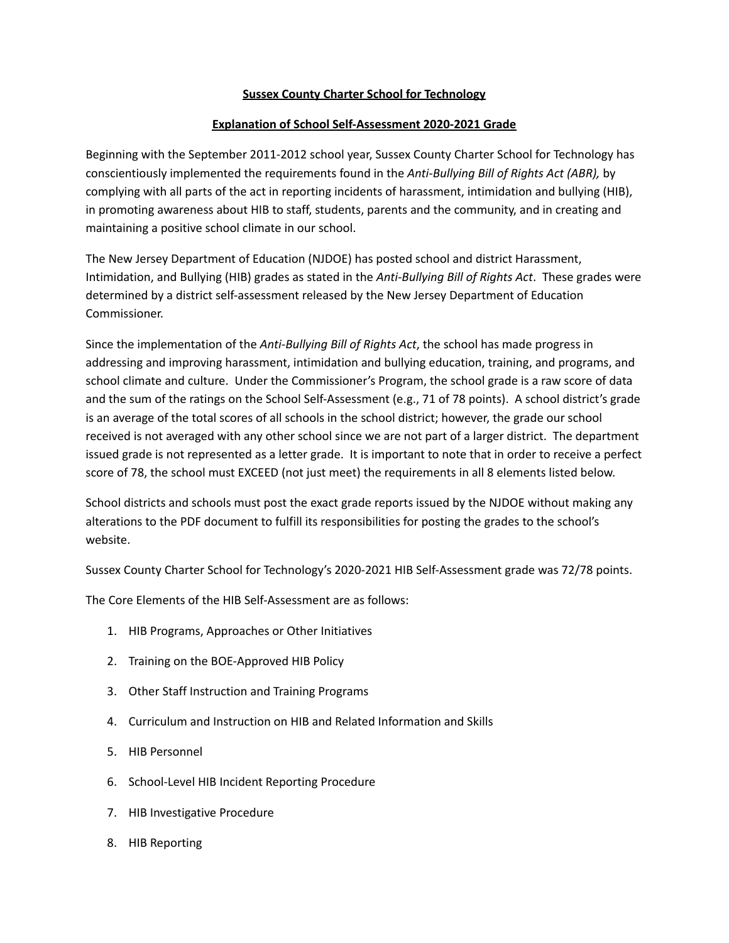## **Sussex County Charter School for Technology**

## **Explanation of School Self-Assessment 2020-2021 Grade**

Beginning with the September 2011-2012 school year, Sussex County Charter School for Technology has conscientiously implemented the requirements found in the *Anti-Bullying Bill of Rights Act (ABR),* by complying with all parts of the act in reporting incidents of harassment, intimidation and bullying (HIB), in promoting awareness about HIB to staff, students, parents and the community, and in creating and maintaining a positive school climate in our school.

The New Jersey Department of Education (NJDOE) has posted school and district Harassment, Intimidation, and Bullying (HIB) grades as stated in the *Anti-Bullying Bill of Rights Act*. These grades were determined by a district self-assessment released by the New Jersey Department of Education Commissioner.

Since the implementation of the *Anti-Bullying Bill of Rights Act*, the school has made progress in addressing and improving harassment, intimidation and bullying education, training, and programs, and school climate and culture. Under the Commissioner's Program, the school grade is a raw score of data and the sum of the ratings on the School Self-Assessment (e.g., 71 of 78 points). A school district's grade is an average of the total scores of all schools in the school district; however, the grade our school received is not averaged with any other school since we are not part of a larger district. The department issued grade is not represented as a letter grade. It is important to note that in order to receive a perfect score of 78, the school must EXCEED (not just meet) the requirements in all 8 elements listed below.

School districts and schools must post the exact grade reports issued by the NJDOE without making any alterations to the PDF document to fulfill its responsibilities for posting the grades to the school's website.

Sussex County Charter School for Technology's 2020-2021 HIB Self-Assessment grade was 72/78 points.

The Core Elements of the HIB Self-Assessment are as follows:

- 1. HIB Programs, Approaches or Other Initiatives
- 2. Training on the BOE-Approved HIB Policy
- 3. Other Staff Instruction and Training Programs
- 4. Curriculum and Instruction on HIB and Related Information and Skills
- 5. HIB Personnel
- 6. School-Level HIB Incident Reporting Procedure
- 7. HIB Investigative Procedure
- 8. HIB Reporting